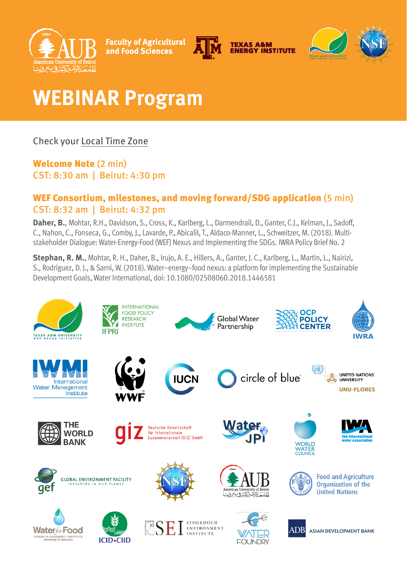

**Faculty of Agricultural** and Food Sciences





# **WEBINAR Program**

## Check your [Local Time Zone](https://www.timeanddate.com/worldclock/)

#### Welcome Note (2 min) CST: 8:30 am | Beirut: 4:30 pm

#### WEF Consortium, milestones, and moving forward/SDG application (5 min) CST: 8:32 am | Beirut: 4:32 pm

**Daher, B.**, Mohtar, R.H., Davidson, S., Cross, K., Karlberg, L., Darmendrail, D., Ganter, C.J., Kelman, J., Sadoff, C., Nahon, C., Fonseca, G., Comby, J., Lavarde, P., Abicalil, T., Aldaco-Manner, L., Schweitzer, M. (2018). Multistakeholder Dialogue: Water-Energy-Food (WEF) Nexus and Implementing the SDGs. IWRA Policy Brief No. 2

**Stephan, R. M.**, Mohtar, R. H., Daher, B., Irujo, A. E., Hillers, A., Ganter, J. C., Karlberg, L., Martin, L., Nairizi, S., Rodriguez, D. J., & Sarni, W. (2018). Water–energy–food nexus: a platform for implementing the Sustainable Development Goals, Water International, doi: 10.1080/02508060.2018.1446581

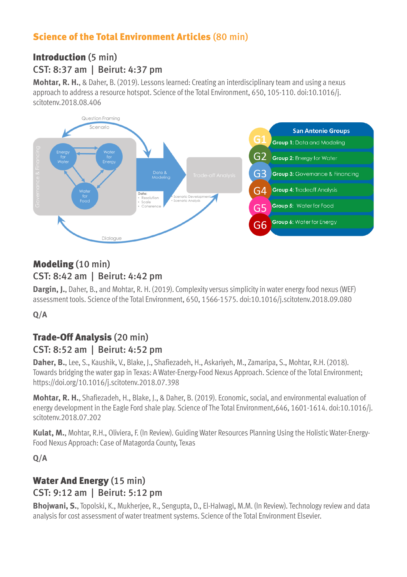## Science of the Total Environment Articles (80 min)

## Introduction (5 min) CST: 8:37 am | Beirut: 4:37 pm

**Mohtar, R. H.**, & Daher, B. (2019). Lessons learned: Creating an interdisciplinary team and using a nexus approach to address a resource hotspot. Science of the Total Environment, 650, 105-110. doi:10.1016/j. scitotenv.2018.08.406



### Modeling (10 min) CST: 8:42 am | Beirut: 4:42 pm

**Dargin, J.**, Daher, B., and Mohtar, R. H. (2019). Complexity versus simplicity in water energy food nexus (WEF) assessment tools. Science of the Total Environment, 650, 1566-1575. doi:10.1016/j.scitotenv.2018.09.080

#### **Q/A**

## Trade-Off Analysis (20 min) CST: 8:52 am | Beirut: 4:52 pm

**Daher, B.**, Lee, S., Kaushik, V., Blake, J., Shafiezadeh, H., Askariyeh, M., Zamaripa, S., Mohtar, R.H. (2018). Towards bridging the water gap in Texas: A Water-Energy-Food Nexus Approach. Science of the Total Environment; https://doi.org/10.1016/j.scitotenv.2018.07.398

**Mohtar, R. H.**, Shafiezadeh, H., Blake, J., & Daher, B. (2019). Economic, social, and environmental evaluation of energy development in the Eagle Ford shale play. Science of The Total Environment,646, 1601-1614. doi:10.1016/j. scitotenv.2018.07.202

**Kulat, M.**, Mohtar, R.H., Oliviera, F. (In Review). Guiding Water Resources Planning Using the Holistic Water-Energy-Food Nexus Approach: Case of Matagorda County, Texas

**Q/A** 

## Water And Energy (15 min) CST: 9:12 am | Beirut: 5:12 pm

**Bhojwani, S.**, Topolski, K., Mukherjee, R., Sengupta, D., El-Halwagi, M.M. (In Review). Technology review and data analysis for cost assessment of water treatment systems. Science of the Total Environment Elsevier.